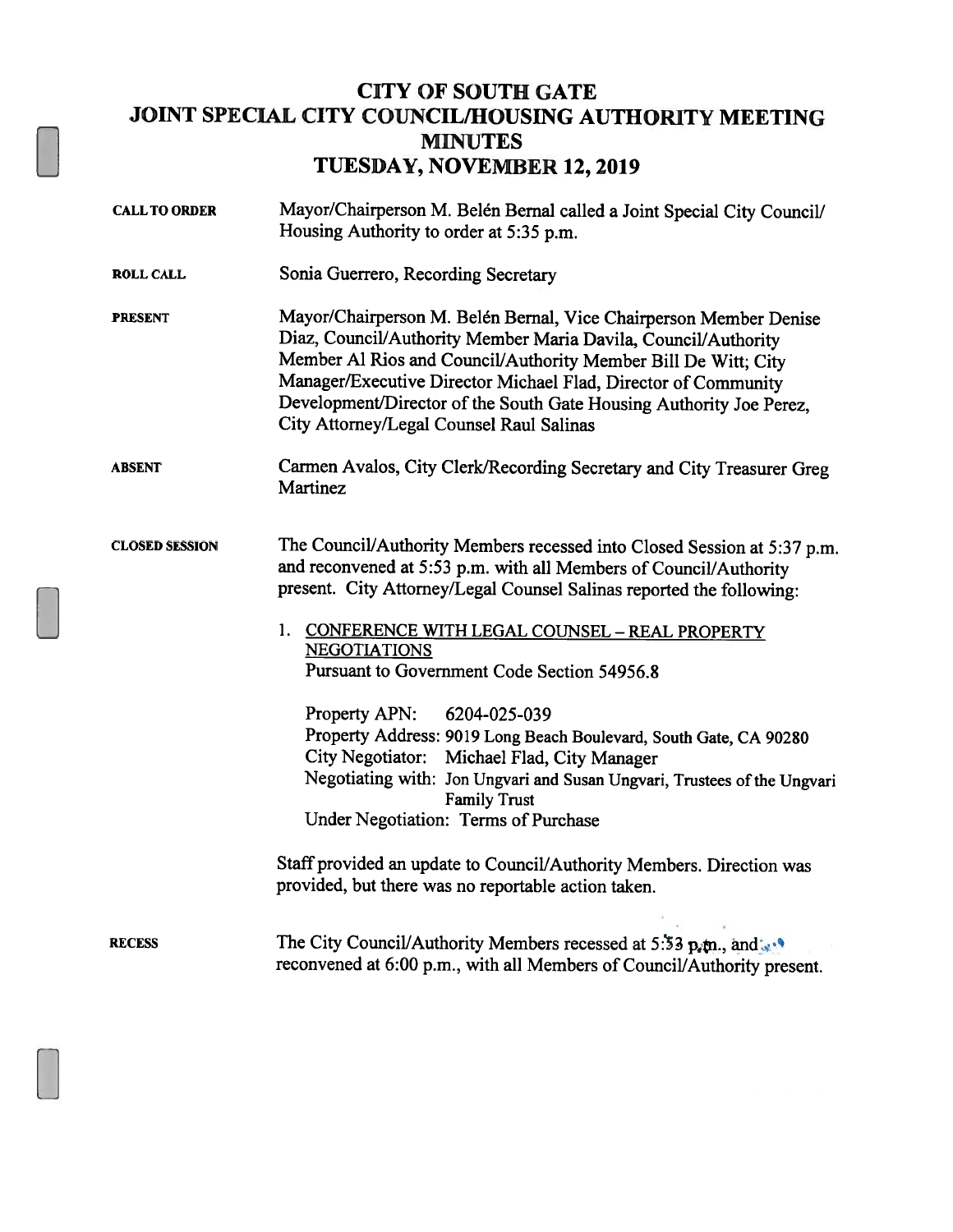## CITY OF SOUTH GATE JOINT SPECIAL CITY COUNCIL/HOUSING AUTHORITY MEETING MINUTES TUESDAY, NOVEMBER 12, 2019

| <b>CALL TO ORDER</b>  | Mayor/Chairperson M. Belén Bernal called a Joint Special City Council/<br>Housing Authority to order at 5:35 p.m.                                                                                                                                                                                                                                                                          |
|-----------------------|--------------------------------------------------------------------------------------------------------------------------------------------------------------------------------------------------------------------------------------------------------------------------------------------------------------------------------------------------------------------------------------------|
| <b>ROLL CALL</b>      | Sonia Guerrero, Recording Secretary                                                                                                                                                                                                                                                                                                                                                        |
| <b>PRESENT</b>        | Mayor/Chairperson M. Belén Bernal, Vice Chairperson Member Denise<br>Diaz, Council/Authority Member Maria Davila, Council/Authority<br>Member Al Rios and Council/Authority Member Bill De Witt; City<br>Manager/Executive Director Michael Flad, Director of Community<br>Development/Director of the South Gate Housing Authority Joe Perez,<br>City Attorney/Legal Counsel Raul Salinas |
| <b>ABSENT</b>         | Carmen Avalos, City Clerk/Recording Secretary and City Treasurer Greg<br>Martinez                                                                                                                                                                                                                                                                                                          |
| <b>CLOSED SESSION</b> | The Council/Authority Members recessed into Closed Session at 5:37 p.m.<br>and reconvened at 5:53 p.m. with all Members of Council/Authority<br>present. City Attorney/Legal Counsel Salinas reported the following:                                                                                                                                                                       |
|                       | 1. CONFERENCE WITH LEGAL COUNSEL - REAL PROPERTY<br><b>NEGOTIATIONS</b><br>Pursuant to Government Code Section 54956.8                                                                                                                                                                                                                                                                     |
|                       | Property APN:<br>6204-025-039<br>Property Address: 9019 Long Beach Boulevard, South Gate, CA 90280<br>City Negotiator: Michael Flad, City Manager<br>Negotiating with: Jon Ungvari and Susan Ungvari, Trustees of the Ungvari<br><b>Family Trust</b><br>Under Negotiation: Terms of Purchase                                                                                               |
|                       | Staff provided an update to Council/Authority Members. Direction was<br>provided, but there was no reportable action taken.                                                                                                                                                                                                                                                                |
| <b>RECESS</b>         | The City Council/Authority Members recessed at 5:53 p.m., and<br>reconvened at 6:00 p.m., with all Members of Council/Authority present.                                                                                                                                                                                                                                                   |